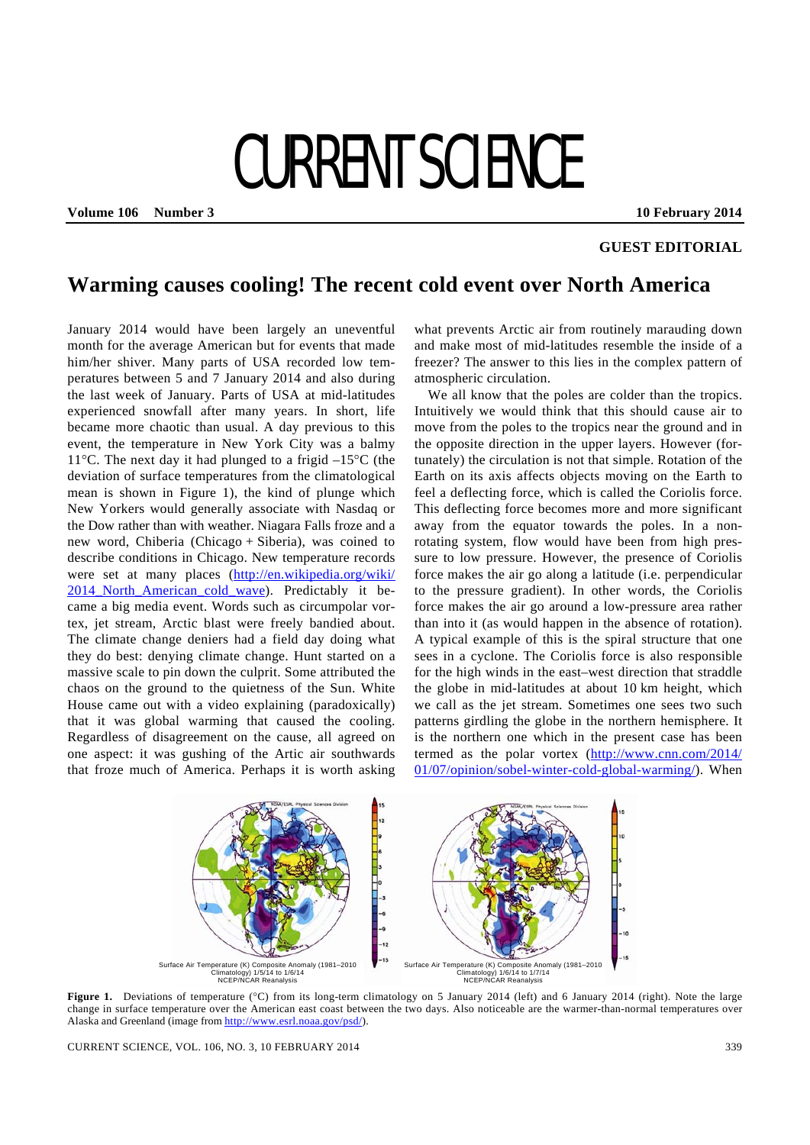## CURRENT SCIENCE

**Volume 106 Number 3 10 February 2014** 

## **GUEST EDITORIAL**

## **Warming causes cooling! The recent cold event over North America**

January 2014 would have been largely an uneventful month for the average American but for events that made him/her shiver. Many parts of USA recorded low temperatures between 5 and 7 January 2014 and also during the last week of January. Parts of USA at mid-latitudes experienced snowfall after many years. In short, life became more chaotic than usual. A day previous to this event, the temperature in New York City was a balmy 11<sup>o</sup>C. The next day it had plunged to a frigid  $-15^{\circ}$ C (the deviation of surface temperatures from the climatological mean is shown in Figure 1), the kind of plunge which New Yorkers would generally associate with Nasdaq or the Dow rather than with weather. Niagara Falls froze and a new word, Chiberia (Chicago + Siberia), was coined to describe conditions in Chicago. New temperature records were set at many places (http://en.wikipedia.org/wiki/ 2014 North American cold wave). Predictably it became a big media event. Words such as circumpolar vortex, jet stream, Arctic blast were freely bandied about. The climate change deniers had a field day doing what they do best: denying climate change. Hunt started on a massive scale to pin down the culprit. Some attributed the chaos on the ground to the quietness of the Sun. White House came out with a video explaining (paradoxically) that it was global warming that caused the cooling. Regardless of disagreement on the cause, all agreed on one aspect: it was gushing of the Artic air southwards that froze much of America. Perhaps it is worth asking

what prevents Arctic air from routinely marauding down and make most of mid-latitudes resemble the inside of a freezer? The answer to this lies in the complex pattern of atmospheric circulation.

 We all know that the poles are colder than the tropics. Intuitively we would think that this should cause air to move from the poles to the tropics near the ground and in the opposite direction in the upper layers. However (fortunately) the circulation is not that simple. Rotation of the Earth on its axis affects objects moving on the Earth to feel a deflecting force, which is called the Coriolis force. This deflecting force becomes more and more significant away from the equator towards the poles. In a nonrotating system, flow would have been from high pressure to low pressure. However, the presence of Coriolis force makes the air go along a latitude (i.e. perpendicular to the pressure gradient). In other words, the Coriolis force makes the air go around a low-pressure area rather than into it (as would happen in the absence of rotation). A typical example of this is the spiral structure that one sees in a cyclone. The Coriolis force is also responsible for the high winds in the east–west direction that straddle the globe in mid-latitudes at about 10 km height, which we call as the jet stream. Sometimes one sees two such patterns girdling the globe in the northern hemisphere. It is the northern one which in the present case has been termed as the polar vortex (http://www.cnn.com/2014/ 01/07/opinion/sobel-winter-cold-global-warming/). When



**Figure 1.** Deviations of temperature (°C) from its long-term climatology on 5 January 2014 (left) and 6 January 2014 (right). Note the large change in surface temperature over the American east coast between the two days. Also noticeable are the warmer-than-normal temperatures over Alaska and Greenland (image from http://www.esrl.noaa.gov/psd/).

CURRENT SCIENCE, VOL. 106, NO. 3, 10 FEBRUARY 2014 339